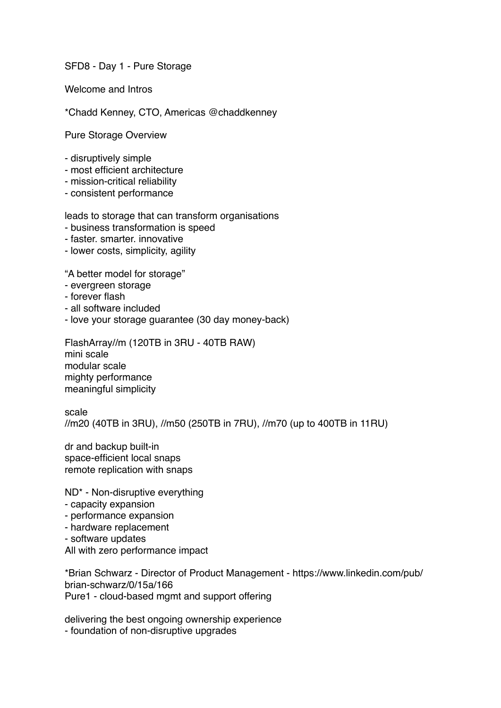SFD8 - Day 1 - Pure Storage

Welcome and Intros

\*Chadd Kenney, CTO, Americas @chaddkenney

Pure Storage Overview

- disruptively simple
- most efficient architecture
- mission-critical reliability
- consistent performance

leads to storage that can transform organisations

- business transformation is speed
- faster. smarter. innovative
- lower costs, simplicity, agility

"A better model for storage"

- evergreen storage
- forever flash
- all software included
- love your storage guarantee (30 day money-back)

FlashArray//m (120TB in 3RU - 40TB RAW) mini scale modular scale mighty performance meaningful simplicity

scale //m20 (40TB in 3RU), //m50 (250TB in 7RU), //m70 (up to 400TB in 11RU)

dr and backup built-in space-efficient local snaps remote replication with snaps

ND\* - Non-disruptive everything

- capacity expansion
- performance expansion
- hardware replacement
- software updates

All with zero performance impact

\*Brian Schwarz - Director of Product Management - [https://www.linkedin.com/pub/](https://www.linkedin.com/pub/brian-schwarz/0/15a/166) [brian-schwarz/0/15a/166](https://www.linkedin.com/pub/brian-schwarz/0/15a/166) Pure1 - cloud-based mgmt and support offering

delivering the best ongoing ownership experience - foundation of non-disruptive upgrades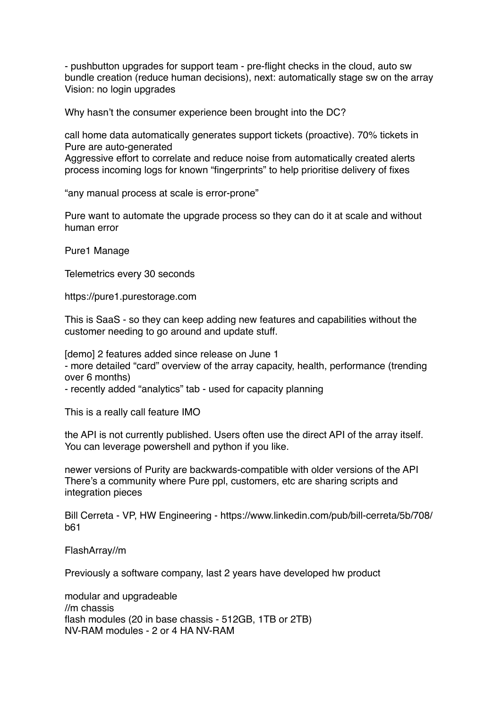- pushbutton upgrades for support team - pre-flight checks in the cloud, auto sw bundle creation (reduce human decisions), next: automatically stage sw on the array Vision: no login upgrades

Why hasn't the consumer experience been brought into the DC?

call home data automatically generates support tickets (proactive). 70% tickets in Pure are auto-generated

Aggressive effort to correlate and reduce noise from automatically created alerts process incoming logs for known "fingerprints" to help prioritise delivery of fixes

"any manual process at scale is error-prone"

Pure want to automate the upgrade process so they can do it at scale and without human error

Pure1 Manage

Telemetrics every 30 seconds

https://pure1.purestorage.com

This is SaaS - so they can keep adding new features and capabilities without the customer needing to go around and update stuff.

[demo] 2 features added since release on June 1 - more detailed "card" overview of the array capacity, health, performance (trending over 6 months)

- recently added "analytics" tab - used for capacity planning

This is a really call feature IMO

the API is not currently published. Users often use the direct API of the array itself. You can leverage powershell and python if you like.

newer versions of Purity are backwards-compatible with older versions of the API There's a community where Pure ppl, customers, etc are sharing scripts and integration pieces

Bill Cerreta - VP, HW Engineering - [https://www.linkedin.com/pub/bill-cerreta/5b/708/](https://www.linkedin.com/pub/bill-cerreta/5b/708/b61) [b61](https://www.linkedin.com/pub/bill-cerreta/5b/708/b61)

FlashArray//m

Previously a software company, last 2 years have developed hw product

modular and upgradeable //m chassis flash modules (20 in base chassis - 512GB, 1TB or 2TB) NV-RAM modules - 2 or 4 HA NV-RAM